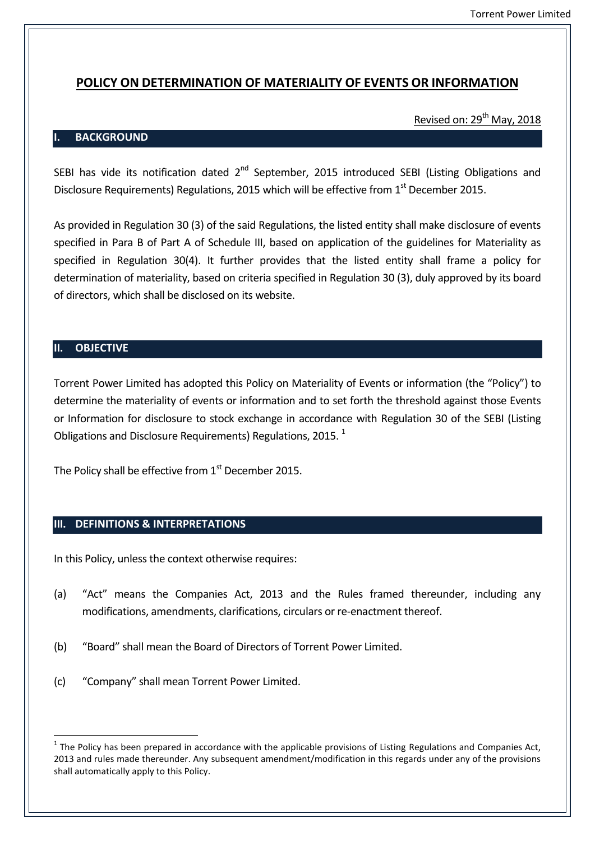## **POLICY ON DETERMINATION OF MATERIALITY OF EVENTS OR INFORMATION**

## Revised on: 29<sup>th</sup> May, 2018

#### **I. BACKGROUND**

SEBI has vide its notification dated 2<sup>nd</sup> September, 2015 introduced SEBI (Listing Obligations and Disclosure Requirements) Regulations, 2015 which will be effective from 1<sup>st</sup> December 2015.

As provided in Regulation 30 (3) of the said Regulations, the listed entity shall make disclosure of events specified in Para B of Part A of Schedule III, based on application of the guidelines for Materiality as specified in Regulation 30(4). It further provides that the listed entity shall frame a policy for determination of materiality, based on criteria specified in Regulation 30 (3), duly approved by its board of directors, which shall be disclosed on its website.

#### **II. OBJECTIVE**

Torrent Power Limited has adopted this Policy on Materiality of Events or information (the "Policy") to determine the materiality of events or information and to set forth the threshold against those Events or Information for disclosure to stock exchange in accordance with Regulation 30 of the SEBI (Listing Obligations and Disclosure Requirements) Regulations, 2015.<sup>1</sup>

The Policy shall be effective from  $1<sup>st</sup>$  December 2015.

#### **III. DEFINITIONS & INTERPRETATIONS**

In this Policy, unless the context otherwise requires:

- (a) "Act" means the Companies Act, 2013 and the Rules framed thereunder, including any modifications, amendments, clarifications, circulars or re-enactment thereof.
- (b) "Board" shall mean the Board of Directors of Torrent Power Limited.
- (c) "Company" shall mean Torrent Power Limited.

 $1$  The Policy has been prepared in accordance with the applicable provisions of Listing Regulations and Companies Act, 2013 and rules made thereunder. Any subsequent amendment/modification in this regards under any of the provisions shall automatically apply to this Policy.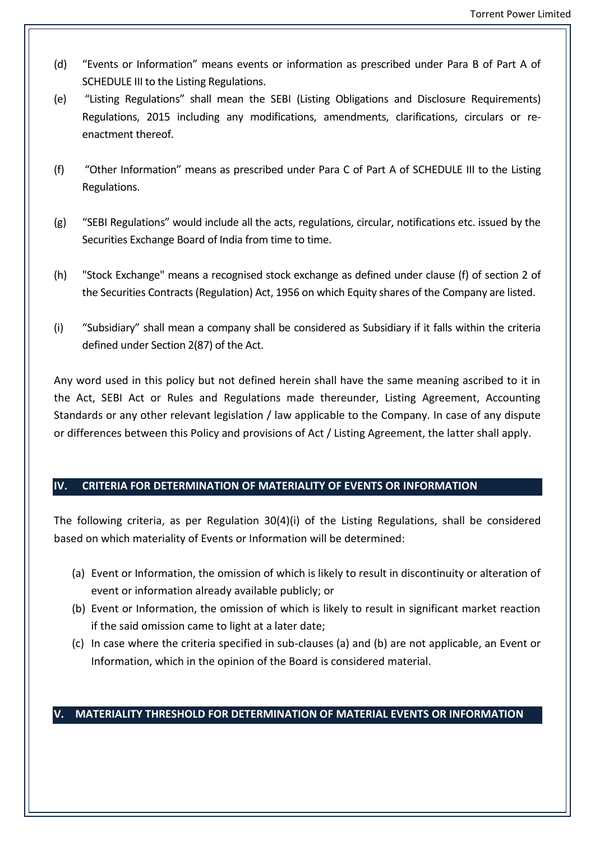- (d) "Events or Information" means events or information as prescribed under Para B of Part A of SCHEDULE III to the Listing Regulations.
- (e) "Listing Regulations" shall mean the SEBI (Listing Obligations and Disclosure Requirements) Regulations, 2015 including any modifications, amendments, clarifications, circulars or reenactment thereof.
- (f) "Other Information" means as prescribed under Para C of Part A of SCHEDULE III to the Listing Regulations.
- (g) "SEBI Regulations" would include all the acts, regulations, circular, notifications etc. issued by the Securities Exchange Board of India from time to time.
- (h) "Stock Exchange" means a recognised stock exchange as defined under clause (f) of section 2 of the Securities Contracts (Regulation) Act, 1956 on which Equity shares of the Company are listed.
- (i) "Subsidiary" shall mean a company shall be considered as Subsidiary if it falls within the criteria defined under Section 2(87) of the Act.

Any word used in this policy but not defined herein shall have the same meaning ascribed to it in the Act, SEBI Act or Rules and Regulations made thereunder, Listing Agreement, Accounting Standards or any other relevant legislation / law applicable to the Company. In case of any dispute or differences between this Policy and provisions of Act / Listing Agreement, the latter shall apply.

## **IV. CRITERIA FOR DETERMINATION OF MATERIALITY OF EVENTS OR INFORMATION**

The following criteria, as per Regulation 30(4)(i) of the Listing Regulations, shall be considered based on which materiality of Events or Information will be determined:

- (a) Event or Information, the omission of which is likely to result in discontinuity or alteration of event or information already available publicly; or
- (b) Event or Information, the omission of which is likely to result in significant market reaction if the said omission came to light at a later date;
- (c) In case where the criteria specified in sub-clauses (a) and (b) are not applicable, an Event or Information, which in the opinion of the Board is considered material.

## **V. MATERIALITY THRESHOLD FOR DETERMINATION OF MATERIAL EVENTS OR INFORMATION**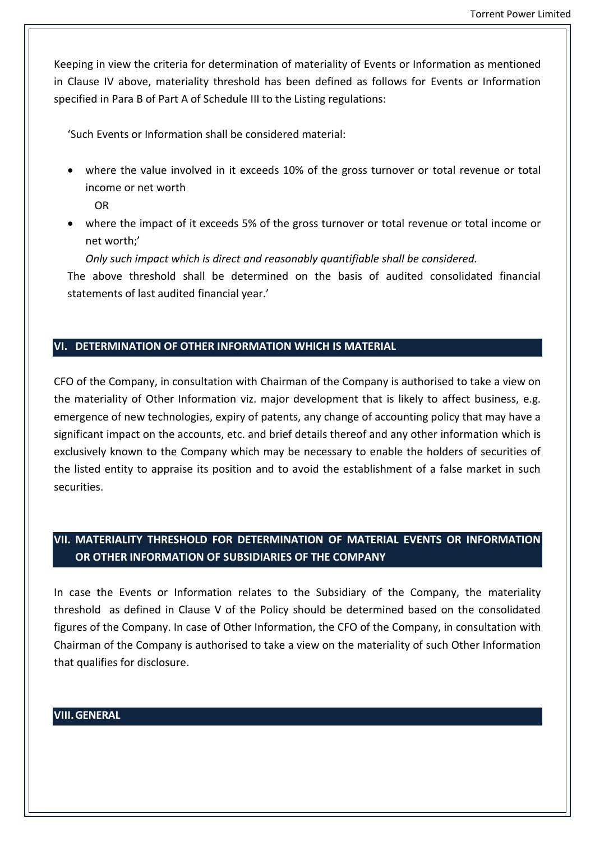Keeping in view the criteria for determination of materiality of Events or Information as mentioned in Clause IV above, materiality threshold has been defined as follows for Events or Information specified in Para B of Part A of Schedule III to the Listing regulations:

'Such Events or Information shall be considered material:

 where the value involved in it exceeds 10% of the gross turnover or total revenue or total income or net worth

OR

 where the impact of it exceeds 5% of the gross turnover or total revenue or total income or net worth;'

*Only such impact which is direct and reasonably quantifiable shall be considered.*

The above threshold shall be determined on the basis of audited consolidated financial statements of last audited financial year.'

### **VI. DETERMINATION OF OTHER INFORMATION WHICH IS MATERIAL**

CFO of the Company, in consultation with Chairman of the Company is authorised to take a view on the materiality of Other Information viz. major development that is likely to affect business, e.g. emergence of new technologies, expiry of patents, any change of accounting policy that may have a significant impact on the accounts, etc. and brief details thereof and any other information which is exclusively known to the Company which may be necessary to enable the holders of securities of the listed entity to appraise its position and to avoid the establishment of a false market in such securities.

# **VII. MATERIALITY THRESHOLD FOR DETERMINATION OF MATERIAL EVENTS OR INFORMATION OR OTHER INFORMATION OF SUBSIDIARIES OF THE COMPANY**

In case the Events or Information relates to the Subsidiary of the Company, the materiality threshold as defined in Clause V of the Policy should be determined based on the consolidated figures of the Company. In case of Other Information, the CFO of the Company, in consultation with Chairman of the Company is authorised to take a view on the materiality of such Other Information that qualifies for disclosure.

#### **VIII.GENERAL**